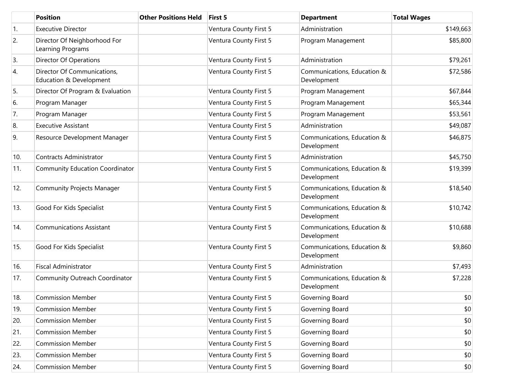|     | <b>Position</b>                                        | <b>Other Positions Held</b> | First 5                | <b>Department</b>                          | <b>Total Wages</b> |
|-----|--------------------------------------------------------|-----------------------------|------------------------|--------------------------------------------|--------------------|
| 1.  | <b>Executive Director</b>                              |                             | Ventura County First 5 | Administration                             | \$149,663          |
| 2.  | Director Of Neighborhood For<br>Learning Programs      |                             | Ventura County First 5 | Program Management                         | \$85,800           |
| 3.  | Director Of Operations                                 |                             | Ventura County First 5 | Administration                             | \$79,261           |
| 4.  | Director Of Communications,<br>Education & Development |                             | Ventura County First 5 | Communications, Education &<br>Development | \$72,586           |
| 5.  | Director Of Program & Evaluation                       |                             | Ventura County First 5 | Program Management                         | \$67,844           |
| 6.  | Program Manager                                        |                             | Ventura County First 5 | Program Management                         | \$65,344           |
| 7.  | Program Manager                                        |                             | Ventura County First 5 | Program Management                         | \$53,561           |
| 8.  | <b>Executive Assistant</b>                             |                             | Ventura County First 5 | Administration                             | \$49,087           |
| 9.  | Resource Development Manager                           |                             | Ventura County First 5 | Communications, Education &<br>Development | \$46,875           |
| 10. | <b>Contracts Administrator</b>                         |                             | Ventura County First 5 | Administration                             | \$45,750           |
| 11. | <b>Community Education Coordinator</b>                 |                             | Ventura County First 5 | Communications, Education &<br>Development | \$19,399           |
| 12. | <b>Community Projects Manager</b>                      |                             | Ventura County First 5 | Communications, Education &<br>Development | \$18,540           |
| 13. | Good For Kids Specialist                               |                             | Ventura County First 5 | Communications, Education &<br>Development | \$10,742           |
| 14. | <b>Communications Assistant</b>                        |                             | Ventura County First 5 | Communications, Education &<br>Development | \$10,688           |
| 15. | Good For Kids Specialist                               |                             | Ventura County First 5 | Communications, Education &<br>Development | \$9,860            |
| 16. | <b>Fiscal Administrator</b>                            |                             | Ventura County First 5 | Administration                             | \$7,493            |
| 17. | Community Outreach Coordinator                         |                             | Ventura County First 5 | Communications, Education &<br>Development | \$7,228            |
| 18. | <b>Commission Member</b>                               |                             | Ventura County First 5 | Governing Board                            | \$0                |
| 19. | <b>Commission Member</b>                               |                             | Ventura County First 5 | Governing Board                            | \$0                |
| 20. | <b>Commission Member</b>                               |                             | Ventura County First 5 | Governing Board                            | \$0                |
| 21. | <b>Commission Member</b>                               |                             | Ventura County First 5 | Governing Board                            | \$0                |
| 22. | <b>Commission Member</b>                               |                             | Ventura County First 5 | Governing Board                            | \$0                |
| 23. | <b>Commission Member</b>                               |                             | Ventura County First 5 | Governing Board                            | \$0                |
| 24. | <b>Commission Member</b>                               |                             | Ventura County First 5 | Governing Board                            | \$0                |